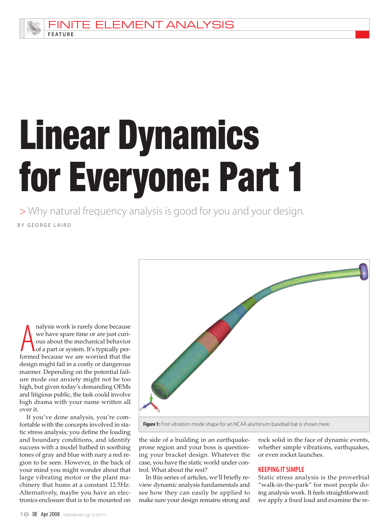

# Linear Dynamics for Everyone: Part 1

BY GEORGE LAIRD > Why natural frequency analysis is good for you and your design.

alysis work is rarely done because<br>we have spare time or are just curi-<br>ous about the mechanical behavior<br>of a part or system. It's typically per-<br>formed because we are worried that the nalysis work is rarely done because we have spare time or are just curious about the mechanical behavior of a part or system. It's typically perdesign might fail in a costly or dangerous manner. Depending on the potential failure mode our anxiety might not be too high, but given today's demanding OEMs and litigious public, the task could involve high drama with your name written all over it.

If you've done analysis, you're comfortable with the concepts involved in static stress analysis; you define the loading and boundary conditions, and identify success with a model bathed in soothing tones of gray and blue with nary a red region to be seen. However, in the back of your mind you might wonder about that large vibrating motor or the plant machinery that hums at a constant 12.5Hz. Alternatively, maybe you have an electronics enclosure that is to be mounted on



Figure 1: First vibration mode shape for an NCAA aluminum baseball bat is shown here.

the side of a building in an earthquakeprone region and your boss is questioning your bracket design. Whatever the case, you have the static world under control. What about the rest?

In this series of articles, we'll briefly review dynamic analysis fundamentals and see how they can easily be applied to make sure your design remains strong and

rock solid in the face of dynamic events, whether simple vibrations, earthquakes, or even rocket launches.

## **KEEPING IT SIMPLE**

Static stress analysis is the proverbial "walk-in-the-park" for most people doing analysis work. It feels straightforward: we apply a fixed load and examine the re-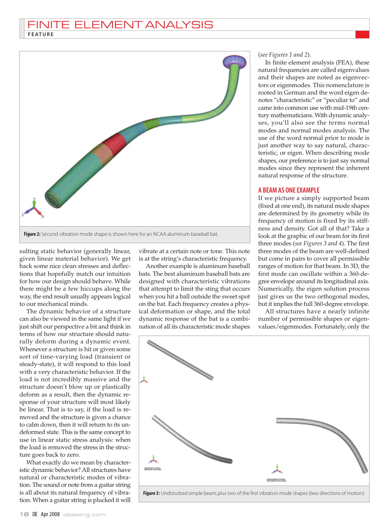

sulting static behavior (generally linear, given linear material behavior). We get back some nice clean stresses and deflections that hopefully match our intuition for how our design should behave. While there might be a few hiccups along the way, the end result usually appears logical to our mechanical minds.

The dynamic behavior of a structure can also be viewed in the same light if we just shift our perspective a bit and think in terms of how our structure should naturally deform during a dynamic event. Whenever a structure is hit or given some sort of time-varying load (transient or steady-state), it will respond to this load with a very characteristic behavior. If the load is not incredibly massive and the structure doesn't blow up or plastically deform as a result, then the dynamic response of your structure will most likely be linear. That is to say, if the load is removed and the structure is given a chance to calm down, then it will return to its undeformed state. This is the same concept to use in linear static stress analysis: when the load is removed the stress in the structure goes back to zero.

What exactly do we mean by characteristic dynamic behavior? All structures have natural or characteristic modes of vibration. The sound or note from a guitar string is all about its natural frequency of vibration. When a guitar string is plucked it will

vibrate at a certain note or tone. This note is at the string's characteristic frequency.

Another example is aluminum baseball bats. The best aluminum baseball bats are designed with characteristic vibrations that attempt to limit the sting that occurs when you hit a ball outside the sweet spot on the bat. Each frequency creates a physical deformation or shape, and the total dynamic response of the bat is a combination of all its characteristic mode shapes (*see Figures 1 and 2*).

In finite element analysis (FEA), these natural frequencies are called eigenvalues and their shapes are noted as eigenvectors or eigenmodes. This nomenclature is rooted in German and the word eigen denotes "characteristic" or "peculiar to" and came into common use with mid-19th century mathematicians. With dynamic analyses, you'll also see the terms normal modes and normal modes analysis. The use of the word normal prior to mode is just another way to say natural, characteristic, or eigen. When describing mode shapes, our preference is to just say normal modes since they represent the inherent natural response of the structure.

#### A BEAM AS ONE EXAMPLE

If we picture a simply supported beam (fixed at one end), its natural mode shapes are determined by its geometry while its frequency of motion is fixed by its stiffness and density. Got all of that? Take a look at the graphic of our beam for its first three modes (*see Figures 3 and 4*). The first three modes of the beam are well-defined but come in pairs to cover all permissible ranges of motion for that beam. In 3D, the first mode can oscillate within a 360-degree envelope around its longitudinal axis. Numerically, the eigen solution process just gives us the two orthogonal modes, but it implies the full 360-degree envelope.

All structures have a nearly infinite number of permissible shapes or eigenvalues/eigenmodes. Fortunately, only the

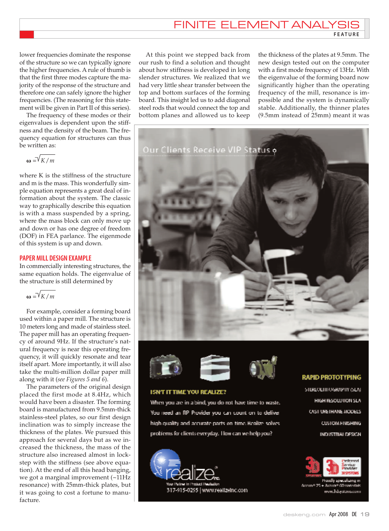# **FINITE ELEMENT ANALY**

F E AT U R E

lower frequencies dominate the response of the structure so we can typically ignore the higher frequencies. A rule of thumb is that the first three modes capture the majority of the response of the structure and therefore one can safely ignore the higher frequencies. (The reasoning for this statement will be given in Part II of this series).

The frequency of these modes or their eigenvalues is dependent upon the stiffness and the density of the beam. The frequency equation for structures can thus be written as:

 $\omega = \sqrt{K/m}$ 

where K is the stiffness of the structure and m is the mass. This wonderfully simple equation represents a great deal of information about the system. The classic way to graphically describe this equation is with a mass suspended by a spring, where the mass block can only move up and down or has one degree of freedom (DOF) in FEA parlance. The eigenmode of this system is up and down.

# PAPER MILL DESIGN EXAMPLE

In commercially interesting structures, the same equation holds. The eigenvalue of the structure is still determined by

 $m = \sqrt{K/m}$ 

For example, consider a forming board used within a paper mill. The structure is 10 meters long and made of stainless steel. The paper mill has an operating frequency of around 9Hz. If the structure's natural frequency is near this operating frequency, it will quickly resonate and tear itself apart. More importantly, it will also take the multi-million dollar paper mill along with it (*see Figures 5 and 6*).

The parameters of the original design placed the first mode at 8.4Hz, which would have been a disaster. The forming board is manufactured from 9.5mm-thick stainless-steel plates, so our first design inclination was to simply increase the thickness of the plates. We pursued this approach for several days but as we increased the thickness, the mass of the structure also increased almost in lockstep with the stiffness (see above equation). At the end of all this head banging, we got a marginal improvement (~11Hz resonance) with 25mm-thick plates, but it was going to cost a fortune to manufacture.

At this point we stepped back from our rush to find a solution and thought about how stiffness is developed in long slender structures. We realized that we had very little shear transfer between the top and bottom surfaces of the forming board. This insight led us to add diagonal steel rods that would connect the top and bottom planes and allowed us to keep

the thickness of the plates at 9.5mm. The new design tested out on the computer with a first mode frequency of 13Hz. With the eigenvalue of the forming board now significantly higher than the operating frequency of the mill, resonance is impossible and the system is dynamically stable. Additionally, the thinner plates (9.5mm instead of 25mm) meant it was









## **ISN'T IT TIME YOU REALIZE?**

When you are in a bind, you do not have time to waste. You need an RP Provider you can count on to deliver high quality and accurate parts on time. Realize solves problems for clients everyday. How can we help you?



#### **RAPID PROTOTYPING**

STURLOLITHOGRAPHY (SLA) HIGH RESOLUTION SLA OVST URETHANIE MODELS **CUSTOM FINISHING** INDUSTRIAL DESIGN



norun# 25 + Arcun# G0mw men.3dsystems.com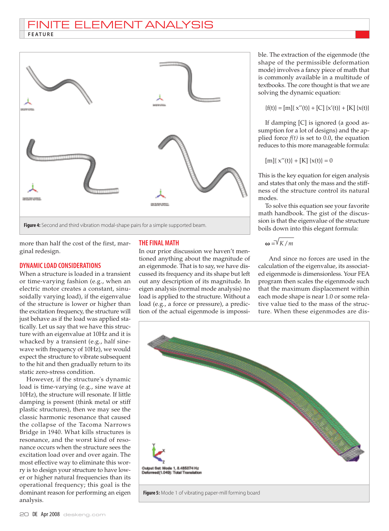# FINITE ELEMENT ANALYSIS **FEATURE**



more than half the cost of the first, marginal redesign.

## DYNAMICLOAD CONSIDERATIONS

When a structure is loaded in a transient or time-varying fashion (e.g., when an electric motor creates a constant, sinusoidally varying load), if the eigenvalue of the structure is lower or higher than the excitation frequency, the structure will just behave as if the load was applied statically. Let us say that we have this structure with an eigenvalue at 10Hz and it is whacked by a transient (e.g., half sinewave with frequency of 10Hz), we would expect the structure to vibrate subsequent to the hit and then gradually return to its static zero-stress condition.

However, if the structure's dynamic load is time-varying (e.g., sine wave at 10Hz), the structure will resonate. If little damping is present (think metal or stiff plastic structures), then we may see the classic harmonic resonance that caused the collapse of the Tacoma Narrows Bridge in 1940. What kills structures is resonance, and the worst kind of resonance occurs when the structure sees the excitation load over and over again. The most effective way to eliminate this worry is to design your structure to have lower or higher natural frequencies than its operational frequency; this goal is the dominant reason for performing an eigen analysis.

# **THE FINAL MATH**

In our prior discussion we haven't mentioned anything about the magnitude of an eigenmode. That is to say, we have discussed its frequency and its shape but left out any description of its magnitude. In eigen analysis (normal mode analysis) no load is applied to the structure. Without a load (e.g., a force or pressure), a prediction of the actual eigenmode is impossible. The extraction of the eigenmode (the shape of the permissible deformation mode) involves a fancy piece of math that is commonly available in a multitude of textbooks. The core thought is that we are solving the dynamic equation:

$$
\{f(t)\} = [m] \{x''(t)\} + [C] \{x'(t)\} + [K] \{x(t)\}
$$

If damping [C] is ignored (a good assumption for a lot of designs) and the applied force  $f(t)$  is set to 0.0, the equation reduces to this more manageable formula:

$$
[m]{x''(t)} + [K]{x(t)} = 0
$$

This is the key equation for eigen analysis and states that only the mass and the stiffness of the structure control its natural modes.

To solve this equation see your favorite math handbook. The gist of the discussion is that the eigenvalue of the structure boils down into this elegant formula:

$$
\omega = \sqrt{K/m}
$$

And since no forces are used in the calculation of the eigenvalue, its associated eigenmode is dimensionless. Your FEA program then scales the eigenmode such that the maximum displacement within each mode shape is near 1.0 or some relative value tied to the mass of the structure. When these eigenmodes are dis-